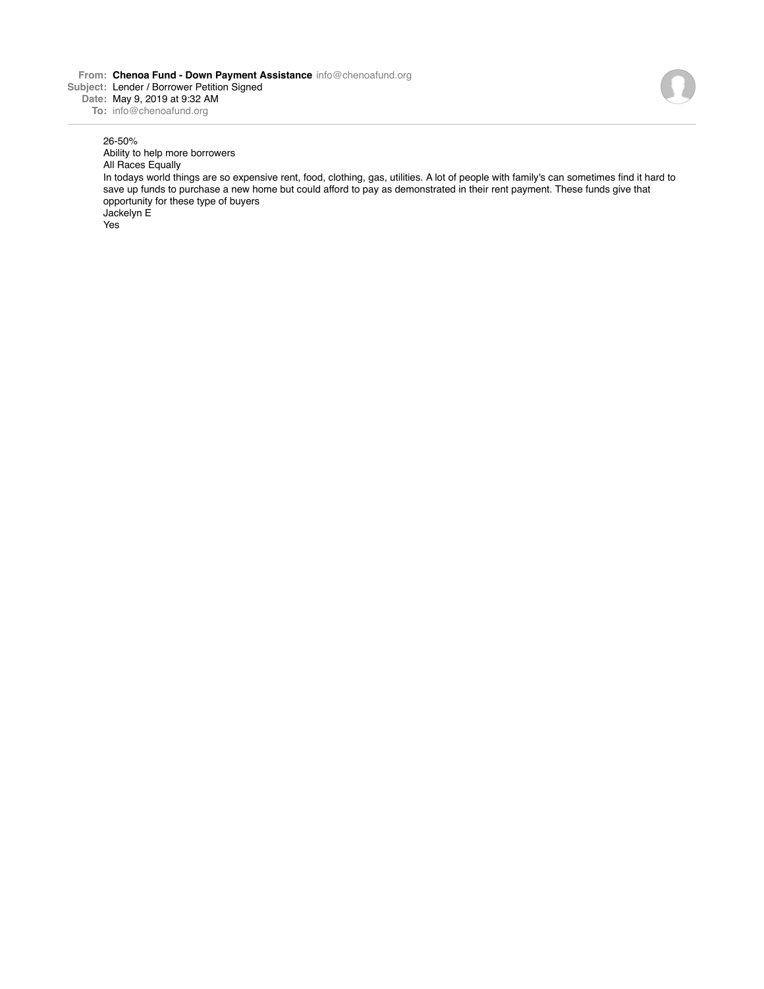**From: Chenoa Fund - Down Payment Assistance** info@chenoafund.org **Subject:** Lender / Borrower Petition Signed **Date:** May 9, 2019 at 9:32 AM

**To:** info@chenoafund.org

## 26-50%

Ability to help more borrowers

All Races Equally

In todays world things are so expensive rent, food, clothing, gas, utilities. A lot of people with family's can sometimes find it hard to save up funds to purchase a new home but could afford to pay as demonstrated in their rent payment. These funds give that opportunity for these type of buyers Jackelyn E

Yes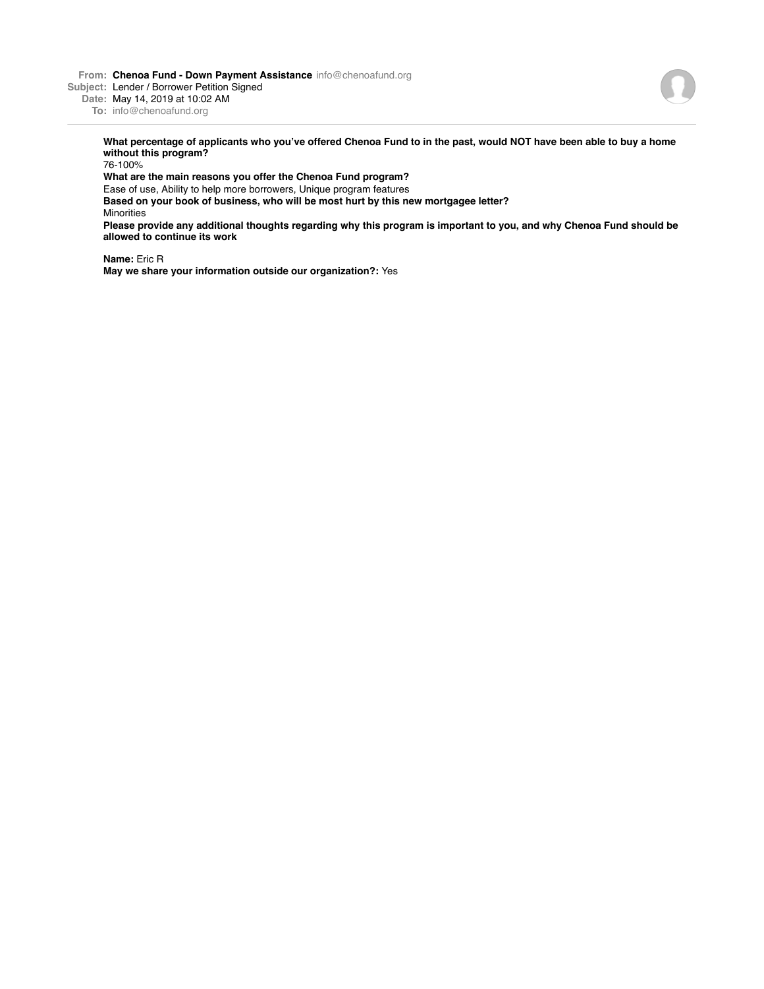**From: Chenoa Fund - Down Payment Assistance** info@chenoafund.org

**Subject:** Lender / Borrower Petition Signed

**Date:** May 14, 2019 at 10:02 AM

**To:** info@chenoafund.org

**What percentage of applicants who you've offered Chenoa Fund to in the past, would NOT have been able to buy a home without this program?**

76-100%

**What are the main reasons you offer the Chenoa Fund program?**

Ease of use, Ability to help more borrowers, Unique program features

**Based on your book of business, who will be most hurt by this new mortgagee letter?** Minorities

**Please provide any additional thoughts regarding why this program is important to you, and why Chenoa Fund should be allowed to continue its work**

**Name:** Eric R

**May we share your information outside our organization?:** Yes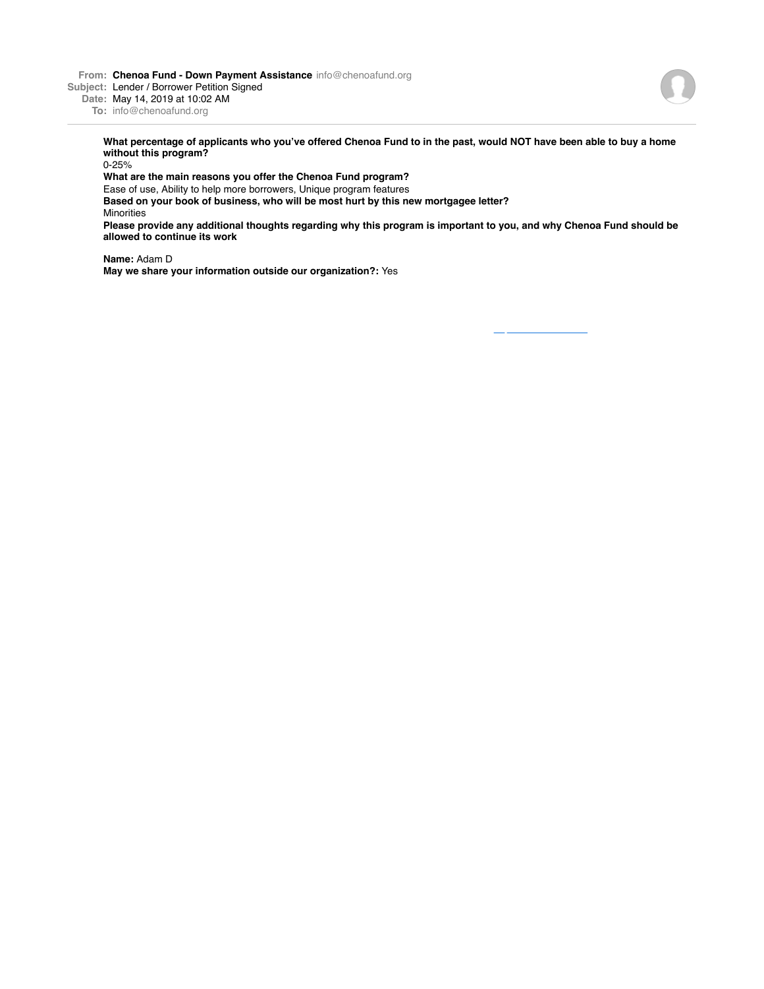**From: Chenoa Fund - Down Payment Assistance** info@chenoafund.org

**Subject:** Lender / Borrower Petition Signed

**Date:** May 14, 2019 at 10:02 AM

**To:** info@chenoafund.org

**What percentage of applicants who you've offered Chenoa Fund to in the past, would NOT have been able to buy a home without this program?**

0-25%

**What are the main reasons you offer the Chenoa Fund program?**

Ease of use, Ability to help more borrowers, Unique program features

**Based on your book of business, who will be most hurt by this new mortgagee letter?** Minorities

**Please provide any additional thoughts regarding why this program is important to you, and why Chenoa Fund should be allowed to continue its work**

**Name:** Adam D

**May we share your information outside our organization?:** Yes